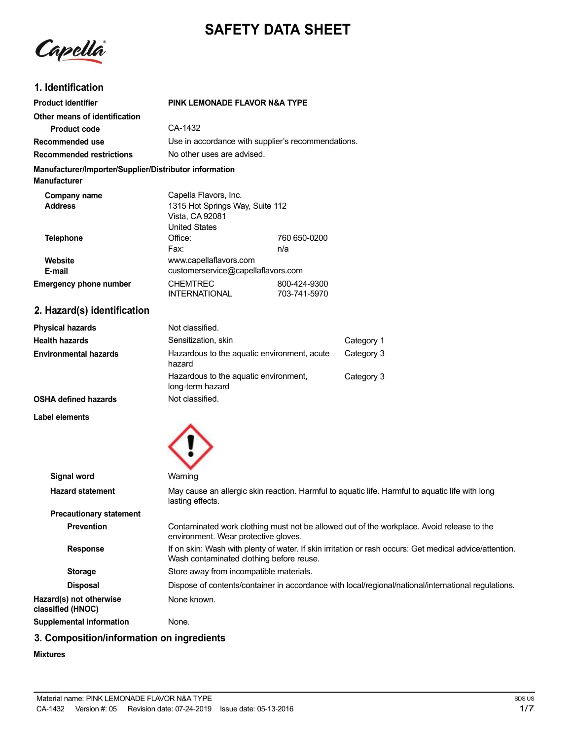# **SAFETY DATA SHEET**

Capella

# **1. Identification**

| <b>Product identifier</b>                                                     | PINK LEMONADE FLAVOR N&A TYPE      |                                                    |
|-------------------------------------------------------------------------------|------------------------------------|----------------------------------------------------|
| Other means of identification                                                 |                                    |                                                    |
| Product code                                                                  | CA-1432                            |                                                    |
| Recommended use                                                               |                                    | Use in accordance with supplier's recommendations. |
| <b>Recommended restrictions</b>                                               | No other uses are advised.         |                                                    |
| Manufacturer/Importer/Supplier/Distributor information<br><b>Manufacturer</b> |                                    |                                                    |
| Company name                                                                  | Capella Flavors, Inc.              |                                                    |
| <b>Address</b>                                                                | 1315 Hot Springs Way, Suite 112    |                                                    |
|                                                                               | Vista, CA 92081                    |                                                    |
|                                                                               | <b>United States</b>               |                                                    |
| <b>Telephone</b>                                                              | Office:                            | 760 650-0200                                       |
|                                                                               | Fax:                               | n/a                                                |
| Website                                                                       | www.capellaflavors.com             |                                                    |
| E-mail                                                                        | customerservice@capellaflavors.com |                                                    |
| <b>Emergency phone number</b>                                                 | <b>CHEMTREC</b>                    | 800-424-9300                                       |
|                                                                               | <b>INTERNATIONAL</b>               | 703-741-5970                                       |

# **2. Hazard(s) identification**

| Physical hazards      | Not classified.                                           |            |
|-----------------------|-----------------------------------------------------------|------------|
| Health hazards        | Sensitization, skin                                       | Category 1 |
| Environmental hazards | Hazardous to the aquatic environment, acute<br>hazard     | Category 3 |
|                       | Hazardous to the aquatic environment,<br>long-term hazard | Category 3 |
| OSHA defined hazards  | Not classified.                                           |            |

#### **Label elements**



| Signal word                                  | Warning                                                                                                                                             |
|----------------------------------------------|-----------------------------------------------------------------------------------------------------------------------------------------------------|
| <b>Hazard statement</b>                      | May cause an allergic skin reaction. Harmful to aguatic life. Harmful to aguatic life with long<br>lasting effects.                                 |
| <b>Precautionary statement</b>               |                                                                                                                                                     |
| <b>Prevention</b>                            | Contaminated work clothing must not be allowed out of the workplace. Avoid release to the<br>environment. Wear protective gloves.                   |
| <b>Response</b>                              | If on skin: Wash with plenty of water. If skin irritation or rash occurs: Get medical advice/attention.<br>Wash contaminated clothing before reuse. |
| <b>Storage</b>                               | Store away from incompatible materials.                                                                                                             |
| <b>Disposal</b>                              | Dispose of contents/container in accordance with local/regional/national/international regulations.                                                 |
| Hazard(s) not otherwise<br>classified (HNOC) | None known.                                                                                                                                         |
| <b>Supplemental information</b>              | None.                                                                                                                                               |
|                                              |                                                                                                                                                     |

# **3. Composition/information on ingredients**

### **Mixtures**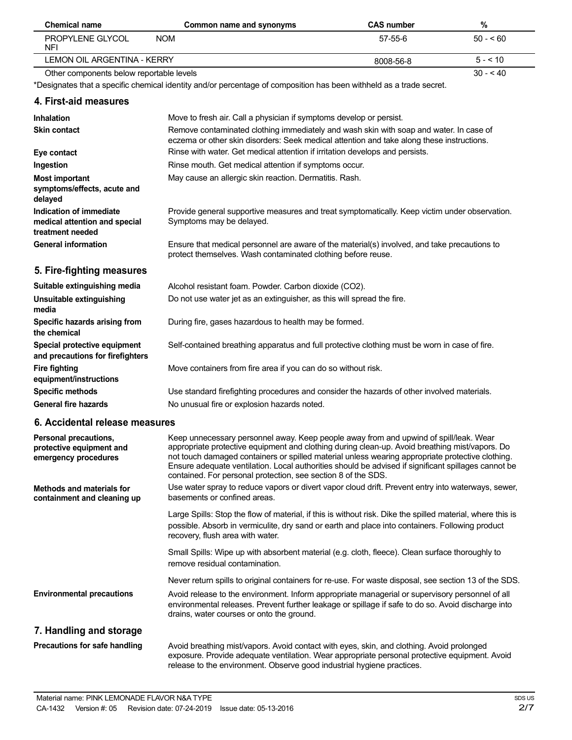| <b>Chemical name</b>                     | Common name and synonyms | <b>CAS number</b> | %         |  |
|------------------------------------------|--------------------------|-------------------|-----------|--|
| PROPYLENE GLYCOL<br>NFI                  | <b>NOM</b>               | 57-55-6           | $50 - 60$ |  |
| LEMON OIL ARGENTINA - KERRY              |                          | 8008-56-8         | $5 - 510$ |  |
| Other components below reportable levels |                          |                   | $30 - 40$ |  |

\*Designates that a specific chemical identity and/or percentage of composition has been withheld as a trade secret.

### **4. First-aid measures**

| <b>Inhalation</b>                                                            | Move to fresh air. Call a physician if symptoms develop or persist.                                                                                                                 |
|------------------------------------------------------------------------------|-------------------------------------------------------------------------------------------------------------------------------------------------------------------------------------|
| <b>Skin contact</b>                                                          | Remove contaminated clothing immediately and wash skin with soap and water. In case of<br>eczema or other skin disorders: Seek medical attention and take along these instructions. |
| Eye contact                                                                  | Rinse with water. Get medical attention if irritation develops and persists.                                                                                                        |
| Ingestion                                                                    | Rinse mouth. Get medical attention if symptoms occur.                                                                                                                               |
| <b>Most important</b><br>symptoms/effects, acute and<br>delayed              | May cause an allergic skin reaction. Dermatitis. Rash.                                                                                                                              |
| Indication of immediate<br>medical attention and special<br>treatment needed | Provide general supportive measures and treat symptomatically. Keep victim under observation.<br>Symptoms may be delayed.                                                           |
| <b>General information</b>                                                   | Ensure that medical personnel are aware of the material(s) involved, and take precautions to<br>protect themselves. Wash contaminated clothing before reuse.                        |
| 5. Fire-fighting measures                                                    |                                                                                                                                                                                     |
| Suitable extinguishing media                                                 | Alcohol resistant foam. Powder. Carbon dioxide (CO2).                                                                                                                               |
| Unsuitable extinguishing                                                     | Do not use water jet as an extinguisher, as this will spread the fire.                                                                                                              |

**media Specific hazards arising from the chemical Special protective equipment and precautions for firefighters Fire fighting equipment/instructions Specific methods General fire hazards** During fire, gases hazardous to health may be formed. Self-contained breathing apparatus and full protective clothing must be worn in case of fire. Move containers from fire area if you can do so without risk. Use standard firefighting procedures and consider the hazards of other involved materials. No unusual fire or explosion hazards noted.

### **6. Accidental release measures**

| Personal precautions,<br>protective equipment and<br>emergency procedures | Keep unnecessary personnel away. Keep people away from and upwind of spill/leak. Wear<br>appropriate protective equipment and clothing during clean-up. Avoid breathing mist/vapors. Do<br>not touch damaged containers or spilled material unless wearing appropriate protective clothing.<br>Ensure adequate ventilation. Local authorities should be advised if significant spillages cannot be<br>contained. For personal protection, see section 8 of the SDS. |
|---------------------------------------------------------------------------|---------------------------------------------------------------------------------------------------------------------------------------------------------------------------------------------------------------------------------------------------------------------------------------------------------------------------------------------------------------------------------------------------------------------------------------------------------------------|
| Methods and materials for<br>containment and cleaning up                  | Use water spray to reduce vapors or divert vapor cloud drift. Prevent entry into waterways, sewer,<br>basements or confined areas.                                                                                                                                                                                                                                                                                                                                  |
|                                                                           | Large Spills: Stop the flow of material, if this is without risk. Dike the spilled material, where this is<br>possible. Absorb in vermiculite, dry sand or earth and place into containers. Following product<br>recovery, flush area with water.                                                                                                                                                                                                                   |
|                                                                           | Small Spills: Wipe up with absorbent material (e.g. cloth, fleece). Clean surface thoroughly to<br>remove residual contamination.                                                                                                                                                                                                                                                                                                                                   |
|                                                                           | Never return spills to original containers for re-use. For waste disposal, see section 13 of the SDS.                                                                                                                                                                                                                                                                                                                                                               |
| <b>Environmental precautions</b>                                          | Avoid release to the environment. Inform appropriate managerial or supervisory personnel of all<br>environmental releases. Prevent further leakage or spillage if safe to do so. Avoid discharge into<br>drains, water courses or onto the ground.                                                                                                                                                                                                                  |
| 7. Handling and storage                                                   |                                                                                                                                                                                                                                                                                                                                                                                                                                                                     |
| Precautions for safe handling                                             | Avoid breathing mist/vapors. Avoid contact with eyes, skin, and clothing. Avoid prolonged<br>exposure. Provide adequate ventilation. Wear appropriate personal protective equipment. Avoid<br>release to the environment. Observe good industrial hygiene practices.                                                                                                                                                                                                |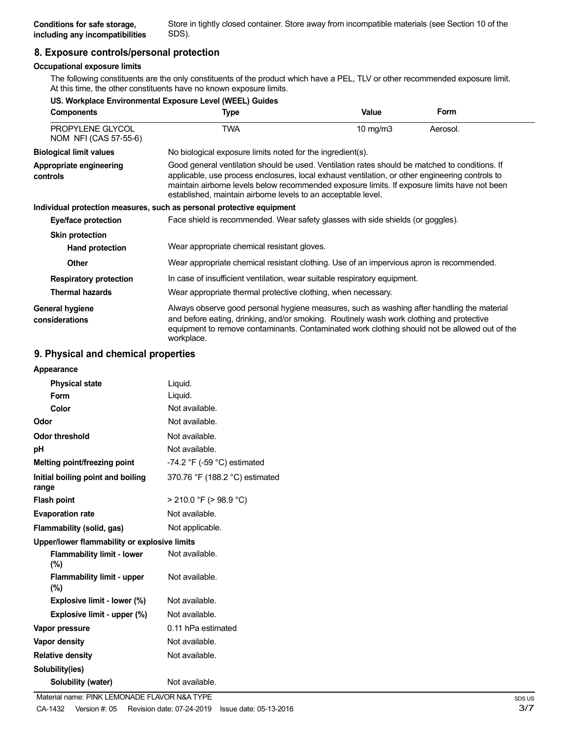Store in tightly closed container. Store away from incompatible materials (see Section 10 of the SDS).

# **8. Exposure controls/personal protection**

# **Occupational exposure limits**

The following constituents are the only constituents of the product which have a PEL, TLV or other recommended exposure limit. At this time, the other constituents have no known exposure limits.

|                                           | US. Workplace Environmental Exposure Level (WEEL) Guides                                                                                                                                                                                                                                                                                                           |             |             |
|-------------------------------------------|--------------------------------------------------------------------------------------------------------------------------------------------------------------------------------------------------------------------------------------------------------------------------------------------------------------------------------------------------------------------|-------------|-------------|
| <b>Components</b>                         | Type                                                                                                                                                                                                                                                                                                                                                               | Value       | <b>Form</b> |
| PROPYLENE GLYCOL<br>NOM NFI (CAS 57-55-6) | <b>TWA</b>                                                                                                                                                                                                                                                                                                                                                         | 10 mg/m $3$ | Aerosol.    |
| <b>Biological limit values</b>            | No biological exposure limits noted for the ingredient(s).                                                                                                                                                                                                                                                                                                         |             |             |
| Appropriate engineering<br>controls       | Good general ventilation should be used. Ventilation rates should be matched to conditions. If<br>applicable, use process enclosures, local exhaust ventilation, or other engineering controls to<br>maintain airborne levels below recommended exposure limits. If exposure limits have not been<br>established, maintain airborne levels to an acceptable level. |             |             |
|                                           | Individual protection measures, such as personal protective equipment                                                                                                                                                                                                                                                                                              |             |             |
| Eye/face protection                       | Face shield is recommended. Wear safety glasses with side shields (or goggles).                                                                                                                                                                                                                                                                                    |             |             |
| <b>Skin protection</b>                    |                                                                                                                                                                                                                                                                                                                                                                    |             |             |
| Hand protection                           | Wear appropriate chemical resistant gloves.                                                                                                                                                                                                                                                                                                                        |             |             |
| <b>Other</b>                              | Wear appropriate chemical resistant clothing. Use of an impervious apron is recommended.                                                                                                                                                                                                                                                                           |             |             |
| <b>Respiratory protection</b>             | In case of insufficient ventilation, wear suitable respiratory equipment.                                                                                                                                                                                                                                                                                          |             |             |
| <b>Thermal hazards</b>                    | Wear appropriate thermal protective clothing, when necessary.                                                                                                                                                                                                                                                                                                      |             |             |
| General hygiene<br>considerations         | Always observe good personal hygiene measures, such as washing after handling the material<br>and before eating, drinking, and/or smoking. Routinely wash work clothing and protective<br>equipment to remove contaminants. Contaminated work clothing should not be allowed out of the<br>workplace.                                                              |             |             |

# **9. Physical and chemical properties**

| Appearance                                   |                                               |
|----------------------------------------------|-----------------------------------------------|
| <b>Physical state</b>                        | Liquid.                                       |
| <b>Form</b>                                  | Liquid.                                       |
| Color                                        | Not available.                                |
| Odor                                         | Not available.                                |
| <b>Odor threshold</b>                        | Not available.                                |
| рH                                           | Not available.                                |
| Melting point/freezing point                 | -74.2 $\degree$ F (-59 $\degree$ C) estimated |
| Initial boiling point and boiling<br>range   | 370.76 °F (188.2 °C) estimated                |
| <b>Flash point</b>                           | $>$ 210.0 °F ( $>$ 98.9 °C)                   |
| <b>Evaporation rate</b>                      | Not available.                                |
| Flammability (solid, gas)                    | Not applicable.                               |
| Upper/lower flammability or explosive limits |                                               |
| <b>Flammability limit - lower</b><br>(%)     | Not available.                                |
| <b>Flammability limit - upper</b><br>$(\% )$ | Not available.                                |
| Explosive limit - lower (%)                  | Not available.                                |
| Explosive limit - upper (%)                  | Not available.                                |
| Vapor pressure                               | 0.11 hPa estimated                            |
| <b>Vapor density</b>                         | Not available.                                |
| <b>Relative density</b>                      | Not available.                                |
| Solubility(ies)                              |                                               |
| Solubility (water)                           | Not available.                                |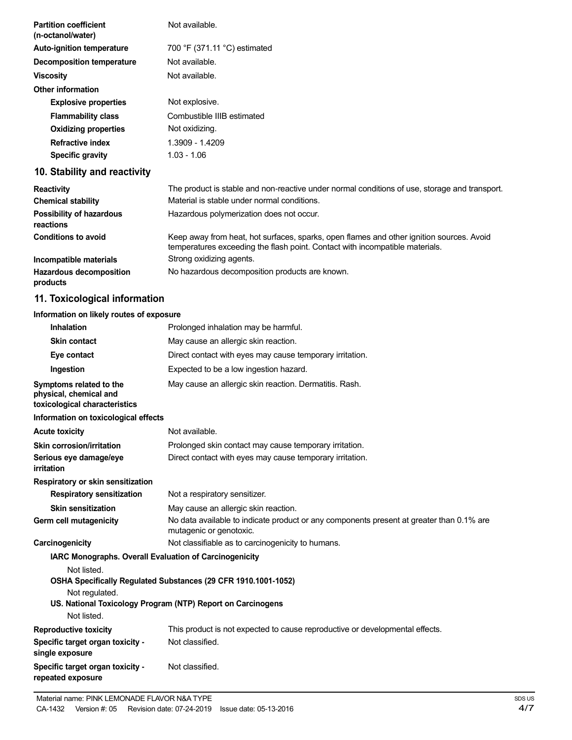| <b>Partition coefficient</b><br>(n-octanol/water) | Not available.                                                                                                                                                           |
|---------------------------------------------------|--------------------------------------------------------------------------------------------------------------------------------------------------------------------------|
| <b>Auto-ignition temperature</b>                  | 700 °F (371.11 °C) estimated                                                                                                                                             |
| <b>Decomposition temperature</b>                  | Not available.                                                                                                                                                           |
| <b>Viscosity</b>                                  | Not available.                                                                                                                                                           |
| <b>Other information</b>                          |                                                                                                                                                                          |
| <b>Explosive properties</b>                       | Not explosive.                                                                                                                                                           |
| <b>Flammability class</b>                         | Combustible IIIB estimated                                                                                                                                               |
| <b>Oxidizing properties</b>                       | Not oxidizing.                                                                                                                                                           |
| <b>Refractive index</b>                           | 1.3909 - 1.4209                                                                                                                                                          |
| <b>Specific gravity</b>                           | $1.03 - 1.06$                                                                                                                                                            |
| 10. Stability and reactivity                      |                                                                                                                                                                          |
| Reactivity                                        | The product is stable and non-reactive under normal conditions of use, storage and transport.                                                                            |
| <b>Chemical stability</b>                         | Material is stable under normal conditions.                                                                                                                              |
| <b>Possibility of hazardous</b><br>reactions      | Hazardous polymerization does not occur.                                                                                                                                 |
| <b>Conditions to avoid</b>                        | Keep away from heat, hot surfaces, sparks, open flames and other ignition sources. Avoid<br>temperatures exceeding the flash point. Contact with incompatible materials. |
| Incompatible materials                            | Strong oxidizing agents.                                                                                                                                                 |
| <b>Hazardous decomposition</b><br>products        | No hazardous decomposition products are known.                                                                                                                           |
| 11. Toxicological information                     |                                                                                                                                                                          |
| Information on likely routes of exposure          |                                                                                                                                                                          |
| <b>Inhalation</b>                                 | Prolonged inhalation may be harmful.                                                                                                                                     |

| <u>IIIIalauvii</u>                                                                 | FTOOTIGEG INTRIBUTION TIRY DE HANTING.                                                                                        |
|------------------------------------------------------------------------------------|-------------------------------------------------------------------------------------------------------------------------------|
| <b>Skin contact</b>                                                                | May cause an allergic skin reaction.                                                                                          |
| Eye contact                                                                        | Direct contact with eyes may cause temporary irritation.                                                                      |
| Ingestion                                                                          | Expected to be a low ingestion hazard.                                                                                        |
| Symptoms related to the<br>physical, chemical and<br>toxicological characteristics | May cause an allergic skin reaction. Dermatitis. Rash.                                                                        |
| Information on toxicological effects                                               |                                                                                                                               |
| <b>Acute toxicity</b>                                                              | Not available.                                                                                                                |
| Skin corrosion/irritation                                                          | Prolonged skin contact may cause temporary irritation.                                                                        |
| Serious eye damage/eye<br>irritation                                               | Direct contact with eyes may cause temporary irritation.                                                                      |
| Respiratory or skin sensitization                                                  |                                                                                                                               |
| <b>Respiratory sensitization</b>                                                   | Not a respiratory sensitizer.                                                                                                 |
| <b>Skin sensitization</b>                                                          | May cause an allergic skin reaction.                                                                                          |
| Germ cell mutagenicity                                                             | No data available to indicate product or any components present at greater than 0.1% are<br>mutagenic or genotoxic.           |
| Carcinogenicity                                                                    | Not classifiable as to carcinogenicity to humans.                                                                             |
| <b>IARC Monographs. Overall Evaluation of Carcinogenicity</b>                      |                                                                                                                               |
| Not listed.<br>Not regulated.<br>Not listed.                                       | OSHA Specifically Regulated Substances (29 CFR 1910.1001-1052)<br>US. National Toxicology Program (NTP) Report on Carcinogens |
| <b>Reproductive toxicity</b>                                                       | This product is not expected to cause reproductive or developmental effects.                                                  |
| Specific target organ toxicity -<br>single exposure                                | Not classified.                                                                                                               |
| Specific target organ toxicity -<br>repeated exposure                              | Not classified.                                                                                                               |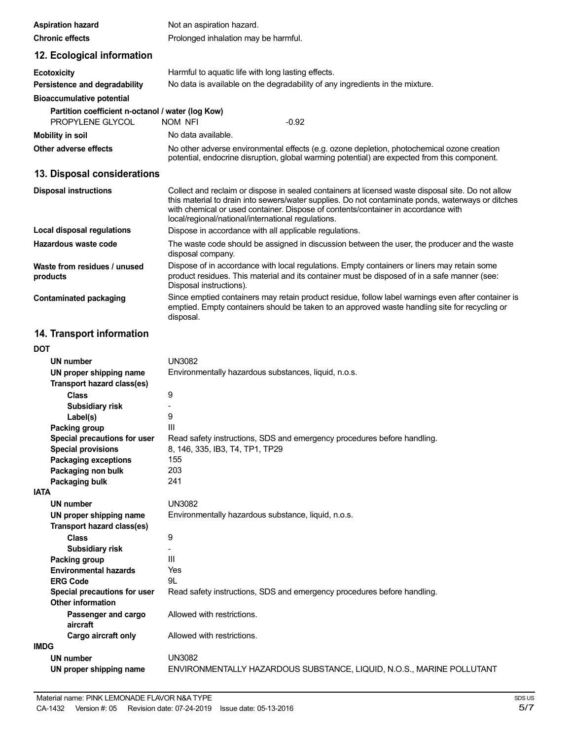| <b>Aspiration hazard</b>                                 | Not an aspiration hazard.                                                                                                                                                                                                                                                                                                                         |  |  |
|----------------------------------------------------------|---------------------------------------------------------------------------------------------------------------------------------------------------------------------------------------------------------------------------------------------------------------------------------------------------------------------------------------------------|--|--|
| <b>Chronic effects</b>                                   | Prolonged inhalation may be harmful.                                                                                                                                                                                                                                                                                                              |  |  |
| 12. Ecological information                               |                                                                                                                                                                                                                                                                                                                                                   |  |  |
| <b>Ecotoxicity</b>                                       | Harmful to aquatic life with long lasting effects.                                                                                                                                                                                                                                                                                                |  |  |
| Persistence and degradability                            | No data is available on the degradability of any ingredients in the mixture.                                                                                                                                                                                                                                                                      |  |  |
| <b>Bioaccumulative potential</b>                         |                                                                                                                                                                                                                                                                                                                                                   |  |  |
| Partition coefficient n-octanol / water (log Kow)        |                                                                                                                                                                                                                                                                                                                                                   |  |  |
| PROPYLENE GLYCOL                                         | <b>NOM NFI</b><br>$-0.92$                                                                                                                                                                                                                                                                                                                         |  |  |
| <b>Mobility in soil</b>                                  | No data available.                                                                                                                                                                                                                                                                                                                                |  |  |
| Other adverse effects                                    | No other adverse environmental effects (e.g. ozone depletion, photochemical ozone creation<br>potential, endocrine disruption, global warming potential) are expected from this component.                                                                                                                                                        |  |  |
| 13. Disposal considerations                              |                                                                                                                                                                                                                                                                                                                                                   |  |  |
| <b>Disposal instructions</b>                             | Collect and reclaim or dispose in sealed containers at licensed waste disposal site. Do not allow<br>this material to drain into sewers/water supplies. Do not contaminate ponds, waterways or ditches<br>with chemical or used container. Dispose of contents/container in accordance with<br>local/regional/national/international regulations. |  |  |
| <b>Local disposal regulations</b>                        | Dispose in accordance with all applicable regulations.                                                                                                                                                                                                                                                                                            |  |  |
| Hazardous waste code                                     | The waste code should be assigned in discussion between the user, the producer and the waste<br>disposal company.                                                                                                                                                                                                                                 |  |  |
| Waste from residues / unused<br>products                 | Dispose of in accordance with local regulations. Empty containers or liners may retain some<br>product residues. This material and its container must be disposed of in a safe manner (see:<br>Disposal instructions).                                                                                                                            |  |  |
| <b>Contaminated packaging</b>                            | Since emptied containers may retain product residue, follow label warnings even after container is<br>emptied. Empty containers should be taken to an approved waste handling site for recycling or<br>disposal.                                                                                                                                  |  |  |
| 14. Transport information                                |                                                                                                                                                                                                                                                                                                                                                   |  |  |
| <b>DOT</b>                                               |                                                                                                                                                                                                                                                                                                                                                   |  |  |
| UN number                                                | <b>UN3082</b>                                                                                                                                                                                                                                                                                                                                     |  |  |
| UN proper shipping name                                  | Environmentally hazardous substances, liquid, n.o.s.                                                                                                                                                                                                                                                                                              |  |  |
| Transport hazard class(es)                               |                                                                                                                                                                                                                                                                                                                                                   |  |  |
| Class                                                    | 9                                                                                                                                                                                                                                                                                                                                                 |  |  |
| Subsidiary risk                                          |                                                                                                                                                                                                                                                                                                                                                   |  |  |
| Label(s)                                                 | 9                                                                                                                                                                                                                                                                                                                                                 |  |  |
| Packing group<br>Special precautions for user            | Ш<br>Read safety instructions, SDS and emergency procedures before handling.                                                                                                                                                                                                                                                                      |  |  |
| <b>Special provisions</b>                                | 8, 146, 335, IB3, T4, TP1, TP29                                                                                                                                                                                                                                                                                                                   |  |  |
| <b>Packaging exceptions</b>                              | 155                                                                                                                                                                                                                                                                                                                                               |  |  |
| Packaging non bulk                                       | 203                                                                                                                                                                                                                                                                                                                                               |  |  |
| Packaging bulk                                           | 241                                                                                                                                                                                                                                                                                                                                               |  |  |
| <b>IATA</b>                                              |                                                                                                                                                                                                                                                                                                                                                   |  |  |
| <b>UN number</b>                                         | <b>UN3082</b>                                                                                                                                                                                                                                                                                                                                     |  |  |
| UN proper shipping name<br>Transport hazard class(es)    | Environmentally hazardous substance, liquid, n.o.s.                                                                                                                                                                                                                                                                                               |  |  |
| <b>Class</b>                                             | 9                                                                                                                                                                                                                                                                                                                                                 |  |  |
| Subsidiary risk                                          | ÷,<br>Ш                                                                                                                                                                                                                                                                                                                                           |  |  |
| Packing group<br><b>Environmental hazards</b>            | Yes                                                                                                                                                                                                                                                                                                                                               |  |  |
| <b>ERG Code</b>                                          | 9L                                                                                                                                                                                                                                                                                                                                                |  |  |
| Special precautions for user<br><b>Other information</b> | Read safety instructions, SDS and emergency procedures before handling.                                                                                                                                                                                                                                                                           |  |  |
| Passenger and cargo<br>aircraft                          | Allowed with restrictions.                                                                                                                                                                                                                                                                                                                        |  |  |
| Cargo aircraft only                                      | Allowed with restrictions.                                                                                                                                                                                                                                                                                                                        |  |  |
| <b>IMDG</b>                                              |                                                                                                                                                                                                                                                                                                                                                   |  |  |
| <b>UN number</b>                                         | <b>UN3082</b>                                                                                                                                                                                                                                                                                                                                     |  |  |

ENVIRONMENTALLY HAZARDOUS SUBSTANCE, LIQUID, N.O.S., MARINE POLLUTANT

**UN proper shipping name**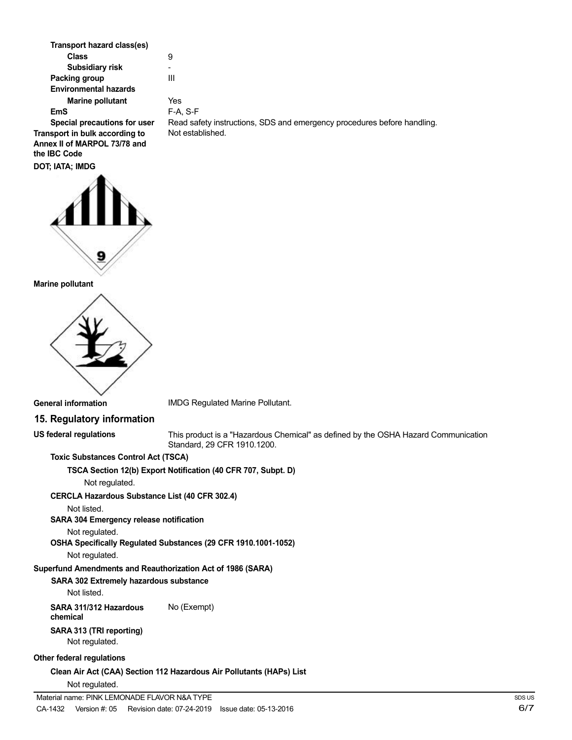| Transport hazard class(es)                                                     |                                                                         |
|--------------------------------------------------------------------------------|-------------------------------------------------------------------------|
| Class                                                                          | 9                                                                       |
| Subsidiary risk                                                                |                                                                         |
| Packing group                                                                  | Ш                                                                       |
| <b>Environmental hazards</b>                                                   |                                                                         |
| <b>Marine pollutant</b>                                                        | Yes                                                                     |
| EmS                                                                            | F-A. S-F                                                                |
| Special precautions for user                                                   | Read safety instructions, SDS and emergency procedures before handling. |
| Transport in bulk according to<br>Annex II of MARPOL 73/78 and<br>the IBC Code | Not established.                                                        |
| DOT; IATA; IMDG                                                                |                                                                         |



#### **Marine pollutant**



IMDG Regulated Marine Pollutant.

# **15. Regulatory information**

**US federal regulations**

This product is a "Hazardous Chemical" as defined by the OSHA Hazard Communication Standard, 29 CFR 1910.1200.

# **Toxic Substances Control Act (TSCA)**

**TSCA Section 12(b) Export Notification (40 CFR 707, Subpt. D)**

Not regulated.

### **CERCLA Hazardous Substance List (40 CFR 302.4)**

Not listed.

# **SARA 304 Emergency release notification**

Not regulated.

### **OSHA Specifically Regulated Substances (29 CFR 1910.1001-1052)**

Not regulated.

### **Superfund Amendments and Reauthorization Act of 1986 (SARA)**

**SARA 302 Extremely hazardous substance** Not listed.

**SARA 311/312 Hazardous** No (Exempt) **chemical SARA 313 (TRI reporting)**

# Not regulated.

### **Other federal regulations**

**Clean Air Act (CAA) Section 112 Hazardous Air Pollutants (HAPs) List** Not regulated.